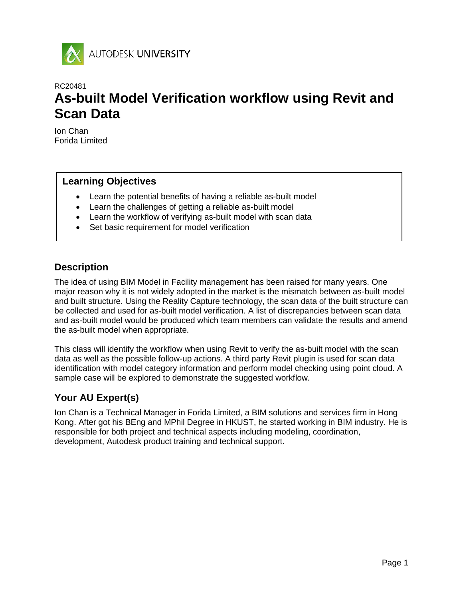

# RC20481 **As-built Model Verification workflow using Revit and Scan Data**

Ion Chan Forida Limited

# **Learning Objectives**

- Learn the potential benefits of having a reliable as-built model
- Learn the challenges of getting a reliable as-built model
- Learn the workflow of verifying as-built model with scan data
- Set basic requirement for model verification

# **Description**

The idea of using BIM Model in Facility management has been raised for many years. One major reason why it is not widely adopted in the market is the mismatch between as-built model and built structure. Using the Reality Capture technology, the scan data of the built structure can be collected and used for as-built model verification. A list of discrepancies between scan data and as-built model would be produced which team members can validate the results and amend the as-built model when appropriate.

This class will identify the workflow when using Revit to verify the as-built model with the scan data as well as the possible follow-up actions. A third party Revit plugin is used for scan data identification with model category information and perform model checking using point cloud. A sample case will be explored to demonstrate the suggested workflow.

# **Your AU Expert(s)**

Ion Chan is a Technical Manager in Forida Limited, a BIM solutions and services firm in Hong Kong. After got his BEng and MPhil Degree in HKUST, he started working in BIM industry. He is responsible for both project and technical aspects including modeling, coordination, development, Autodesk product training and technical support.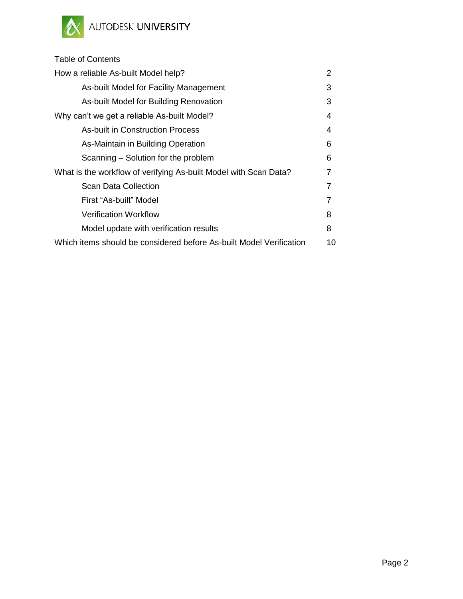

# Table of Contents How a reliable As-built Model help? 2 [As-built Model for Facility Management](#page-2-0) 3

| AS-built Model for Facility Mariagement                             | ت  |
|---------------------------------------------------------------------|----|
| As-built Model for Building Renovation                              | 3  |
| Why can't we get a reliable As-built Model?                         | 4  |
| <b>As-built in Construction Process</b>                             | 4  |
| As-Maintain in Building Operation                                   | 6  |
| Scanning – Solution for the problem                                 | 6  |
| What is the workflow of verifying As-built Model with Scan Data?    | 7  |
| <b>Scan Data Collection</b>                                         |    |
| First "As-built" Model                                              | 7  |
| <b>Verification Workflow</b>                                        | 8  |
| Model update with verification results                              | 8  |
| Which items should be considered before As-built Model Verification | 10 |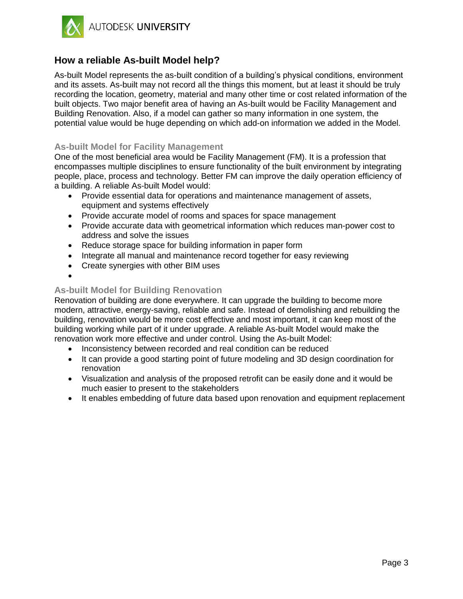

# **How a reliable As-built Model help?**

As-built Model represents the as-built condition of a building's physical conditions, environment and its assets. As-built may not record all the things this moment, but at least it should be truly recording the location, geometry, material and many other time or cost related information of the built objects. Two major benefit area of having an As-built would be Facility Management and Building Renovation. Also, if a model can gather so many information in one system, the potential value would be huge depending on which add-on information we added in the Model.

## <span id="page-2-0"></span>**As-built Model for Facility Management**

One of the most beneficial area would be Facility Management (FM). It is a profession that encompasses multiple disciplines to ensure functionality of the built environment by integrating people, place, process and technology. Better FM can improve the daily operation efficiency of a building. A reliable As-built Model would:

- Provide essential data for operations and maintenance management of assets, equipment and systems effectively
- Provide accurate model of rooms and spaces for space management
- Provide accurate data with geometrical information which reduces man-power cost to address and solve the issues
- Reduce storage space for building information in paper form
- Integrate all manual and maintenance record together for easy reviewing
- Create synergies with other BIM uses
- $\bullet$

## <span id="page-2-1"></span>**As-built Model for Building Renovation**

Renovation of building are done everywhere. It can upgrade the building to become more modern, attractive, energy-saving, reliable and safe. Instead of demolishing and rebuilding the building, renovation would be more cost effective and most important, it can keep most of the building working while part of it under upgrade. A reliable As-built Model would make the renovation work more effective and under control. Using the As-built Model:

- Inconsistency between recorded and real condition can be reduced
- It can provide a good starting point of future modeling and 3D design coordination for renovation
- Visualization and analysis of the proposed retrofit can be easily done and it would be much easier to present to the stakeholders
- It enables embedding of future data based upon renovation and equipment replacement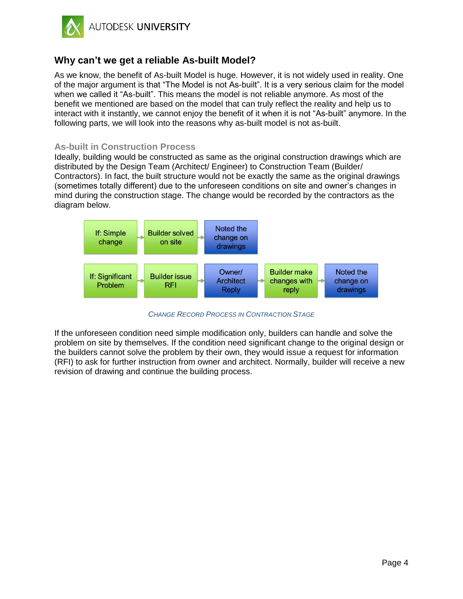

# **Why can't we get a reliable As-built Model?**

As we know, the benefit of As-built Model is huge. However, it is not widely used in reality. One of the major argument is that "The Model is not As-built". It is a very serious claim for the model when we called it "As-built". This means the model is not reliable anymore. As most of the benefit we mentioned are based on the model that can truly reflect the reality and help us to interact with it instantly, we cannot enjoy the benefit of it when it is not "As-built" anymore. In the following parts, we will look into the reasons why as-built model is not as-built.

#### <span id="page-3-0"></span>**As-built in Construction Process**

Ideally, building would be constructed as same as the original construction drawings which are distributed by the Design Team (Architect/ Engineer) to Construction Team (Builder/ Contractors). In fact, the built structure would not be exactly the same as the original drawings (sometimes totally different) due to the unforeseen conditions on site and owner's changes in mind during the construction stage. The change would be recorded by the contractors as the diagram below.



*CHANGE RECORD PROCESS IN CONTRACTION STAGE*

If the unforeseen condition need simple modification only, builders can handle and solve the problem on site by themselves. If the condition need significant change to the original design or the builders cannot solve the problem by their own, they would issue a request for information (RFI) to ask for further instruction from owner and architect. Normally, builder will receive a new revision of drawing and continue the building process.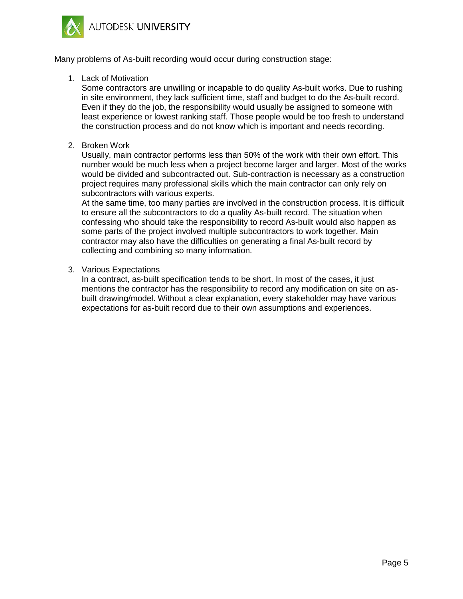AUTODESK UNIVERSITY



Many problems of As-built recording would occur during construction stage:

1. Lack of Motivation

Some contractors are unwilling or incapable to do quality As-built works. Due to rushing in site environment, they lack sufficient time, staff and budget to do the As-built record. Even if they do the job, the responsibility would usually be assigned to someone with least experience or lowest ranking staff. Those people would be too fresh to understand the construction process and do not know which is important and needs recording.

2. Broken Work

Usually, main contractor performs less than 50% of the work with their own effort. This number would be much less when a project become larger and larger. Most of the works would be divided and subcontracted out. Sub-contraction is necessary as a construction project requires many professional skills which the main contractor can only rely on subcontractors with various experts.

At the same time, too many parties are involved in the construction process. It is difficult to ensure all the subcontractors to do a quality As-built record. The situation when confessing who should take the responsibility to record As-built would also happen as some parts of the project involved multiple subcontractors to work together. Main contractor may also have the difficulties on generating a final As-built record by collecting and combining so many information.

3. Various Expectations

In a contract, as-built specification tends to be short. In most of the cases, it just mentions the contractor has the responsibility to record any modification on site on asbuilt drawing/model. Without a clear explanation, every stakeholder may have various expectations for as-built record due to their own assumptions and experiences.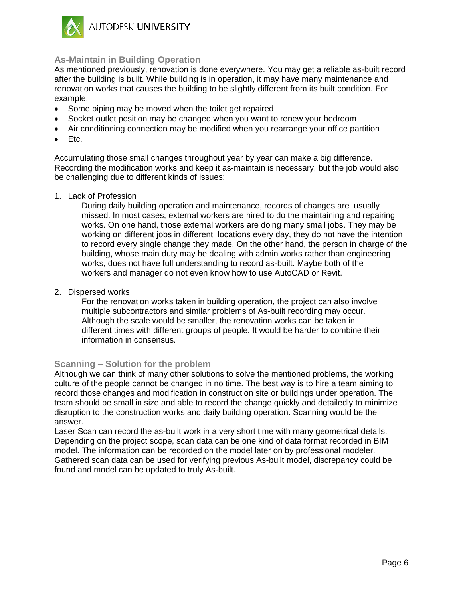

## <span id="page-5-0"></span>**As-Maintain in Building Operation**

As mentioned previously, renovation is done everywhere. You may get a reliable as-built record after the building is built. While building is in operation, it may have many maintenance and renovation works that causes the building to be slightly different from its built condition. For example,

- Some piping may be moved when the toilet get repaired
- Socket outlet position may be changed when you want to renew your bedroom
- Air conditioning connection may be modified when you rearrange your office partition
- $\bullet$  Etc.

Accumulating those small changes throughout year by year can make a big difference. Recording the modification works and keep it as-maintain is necessary, but the job would also be challenging due to different kinds of issues:

1. Lack of Profession

During daily building operation and maintenance, records of changes are usually missed. In most cases, external workers are hired to do the maintaining and repairing works. On one hand, those external workers are doing many small jobs. They may be working on different jobs in different locations every day, they do not have the intention to record every single change they made. On the other hand, the person in charge of the building, whose main duty may be dealing with admin works rather than engineering works, does not have full understanding to record as-built. Maybe both of the workers and manager do not even know how to use AutoCAD or Revit.

2. Dispersed works

For the renovation works taken in building operation, the project can also involve multiple subcontractors and similar problems of As-built recording may occur. Although the scale would be smaller, the renovation works can be taken in different times with different groups of people. It would be harder to combine their information in consensus.

## <span id="page-5-1"></span>**Scanning – Solution for the problem**

Although we can think of many other solutions to solve the mentioned problems, the working culture of the people cannot be changed in no time. The best way is to hire a team aiming to record those changes and modification in construction site or buildings under operation. The team should be small in size and able to record the change quickly and detailedly to minimize disruption to the construction works and daily building operation. Scanning would be the answer.

Laser Scan can record the as-built work in a very short time with many geometrical details. Depending on the project scope, scan data can be one kind of data format recorded in BIM model. The information can be recorded on the model later on by professional modeler. Gathered scan data can be used for verifying previous As-built model, discrepancy could be found and model can be updated to truly As-built.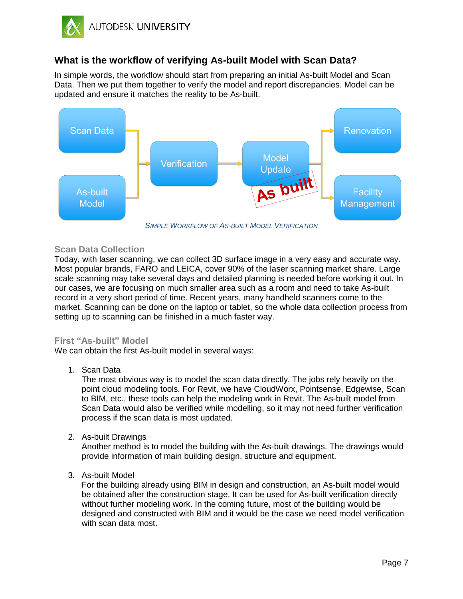

## **What is the workflow of verifying As-built Model with Scan Data?**

In simple words, the workflow should start from preparing an initial As-built Model and Scan Data. Then we put them together to verify the model and report discrepancies. Model can be updated and ensure it matches the reality to be As-built.



*SIMPLE WORKFLOW OF AS-BUILT MODEL VERIFICATION*

## <span id="page-6-0"></span>**Scan Data Collection**

Today, with laser scanning, we can collect 3D surface image in a very easy and accurate way. Most popular brands, FARO and LEICA, cover 90% of the laser scanning market share. Large scale scanning may take several days and detailed planning is needed before working it out. In our cases, we are focusing on much smaller area such as a room and need to take As-built record in a very short period of time. Recent years, many handheld scanners come to the market. Scanning can be done on the laptop or tablet, so the whole data collection process from setting up to scanning can be finished in a much faster way.

## <span id="page-6-1"></span>**First "As-built" Model**

We can obtain the first As-built model in several ways:

1. Scan Data

The most obvious way is to model the scan data directly. The jobs rely heavily on the point cloud modeling tools. For Revit, we have CloudWorx, Pointsense, Edgewise, Scan to BIM, etc., these tools can help the modeling work in Revit. The As-built model from Scan Data would also be verified while modelling, so it may not need further verification process if the scan data is most updated.

2. As-built Drawings

Another method is to model the building with the As-built drawings. The drawings would provide information of main building design, structure and equipment.

3. As-built Model

For the building already using BIM in design and construction, an As-built model would be obtained after the construction stage. It can be used for As-built verification directly without further modeling work. In the coming future, most of the building would be designed and constructed with BIM and it would be the case we need model verification with scan data most.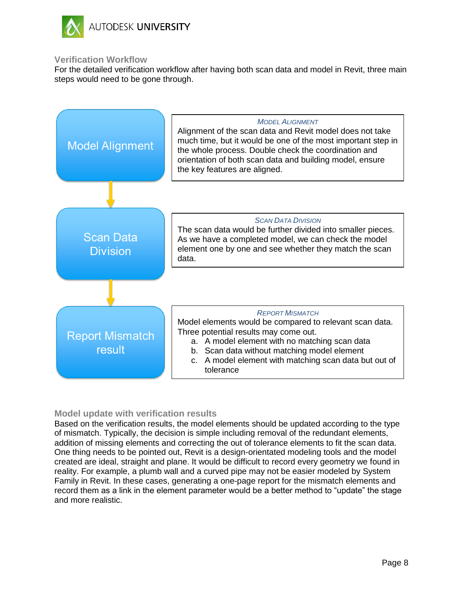

#### <span id="page-7-0"></span>**Verification Workflow**

For the detailed verification workflow after having both scan data and model in Revit, three main steps would need to be gone through.



## <span id="page-7-1"></span>**Model update with verification results**

Based on the verification results, the model elements should be updated according to the type of mismatch. Typically, the decision is simple including removal of the redundant elements, addition of missing elements and correcting the out of tolerance elements to fit the scan data. One thing needs to be pointed out, Revit is a design-orientated modeling tools and the model created are ideal, straight and plane. It would be difficult to record every geometry we found in reality. For example, a plumb wall and a curved pipe may not be easier modeled by System Family in Revit. In these cases, generating a one-page report for the mismatch elements and record them as a link in the element parameter would be a better method to "update" the stage and more realistic.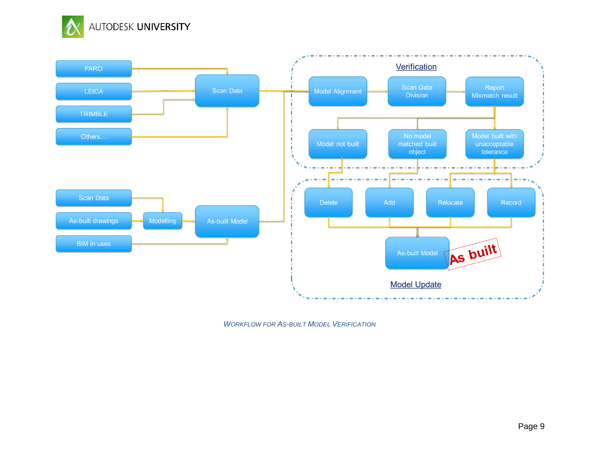



*WORKFLOW FOR AS-BUILT MODEL VERIFICATION*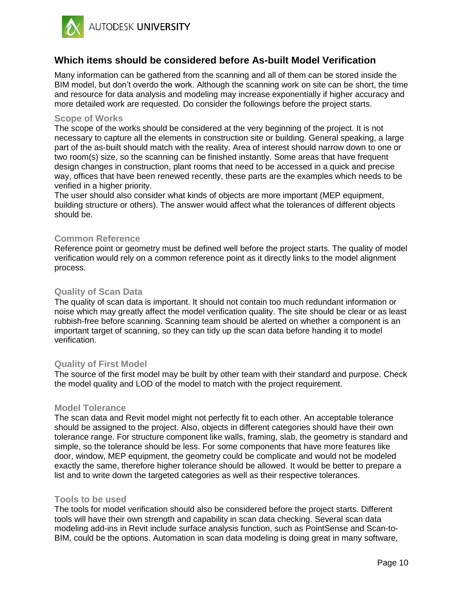

## **Which items should be considered before As-built Model Verification**

Many information can be gathered from the scanning and all of them can be stored inside the BIM model, but don't overdo the work. Although the scanning work on site can be short, the time and resource for data analysis and modeling may increase exponentially if higher accuracy and more detailed work are requested. Do consider the followings before the project starts.

#### **Scope of Works**

The scope of the works should be considered at the very beginning of the project. It is not necessary to capture all the elements in construction site or building. General speaking, a large part of the as-built should match with the reality. Area of interest should narrow down to one or two room(s) size, so the scanning can be finished instantly. Some areas that have frequent design changes in construction, plant rooms that need to be accessed in a quick and precise way, offices that have been renewed recently, these parts are the examples which needs to be verified in a higher priority.

The user should also consider what kinds of objects are more important (MEP equipment, building structure or others). The answer would affect what the tolerances of different objects should be.

#### **Common Reference**

Reference point or geometry must be defined well before the project starts. The quality of model verification would rely on a common reference point as it directly links to the model alignment process.

#### **Quality of Scan Data**

The quality of scan data is important. It should not contain too much redundant information or noise which may greatly affect the model verification quality. The site should be clear or as least rubbish-free before scanning. Scanning team should be alerted on whether a component is an important target of scanning, so they can tidy up the scan data before handing it to model verification.

#### **Quality of First Model**

The source of the first model may be built by other team with their standard and purpose. Check the model quality and LOD of the model to match with the project requirement.

#### **Model Tolerance**

The scan data and Revit model might not perfectly fit to each other. An acceptable tolerance should be assigned to the project. Also, objects in different categories should have their own tolerance range. For structure component like walls, framing, slab, the geometry is standard and simple, so the tolerance should be less. For some components that have more features like door, window, MEP equipment, the geometry could be complicate and would not be modeled exactly the same, therefore higher tolerance should be allowed. It would be better to prepare a list and to write down the targeted categories as well as their respective tolerances.

#### **Tools to be used**

The tools for model verification should also be considered before the project starts. Different tools will have their own strength and capability in scan data checking. Several scan data modeling add-ins in Revit include surface analysis function, such as PointSense and Scan-to-BIM, could be the options. Automation in scan data modeling is doing great in many software,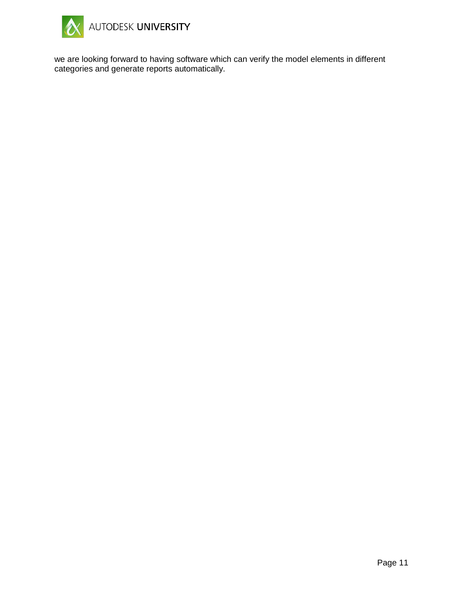

we are looking forward to having software which can verify the model elements in different categories and generate reports automatically.